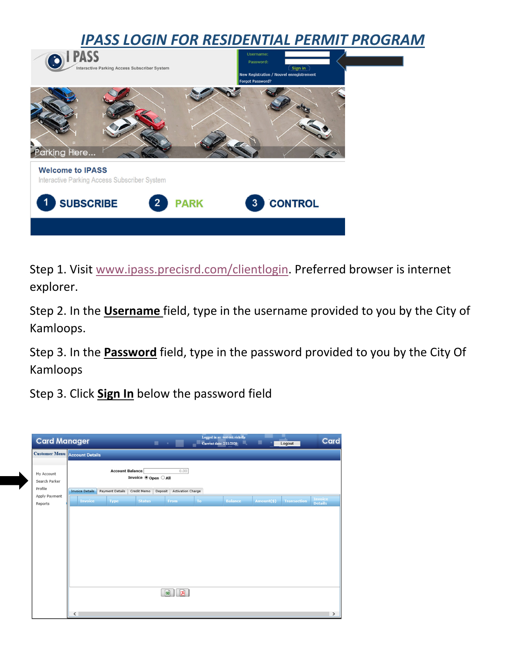

Step 1. Visit www.ipass.precisrd.com/clientlogin. Preferred browser is internet explorer.

Step 2. In the **Username** field, type in the username provided to you by the City of Kamloops.

Step 3. In the **Password** field, type in the password provided to you by the City Of Kamloops

Step 3. Click **Sign In** below the password field

| <b>Card Manager</b>                  |                                                        |                        |               | $\blacksquare$ |                          | <b>Current date: 2/11/2020</b> | Logged in as: test cok richelle<br>鳳 |            | Logout             | Card                             |
|--------------------------------------|--------------------------------------------------------|------------------------|---------------|----------------|--------------------------|--------------------------------|--------------------------------------|------------|--------------------|----------------------------------|
| <b>Customer Menu</b> Account Details |                                                        |                        |               |                |                          |                                |                                      |            |                    |                                  |
| My Account<br>Search Parker          | <b>Account Balance</b><br>0.00<br>Invoice ® Open ○ All |                        |               |                |                          |                                |                                      |            |                    |                                  |
| Profile<br>Apply Payment             | <b>Invoice Details</b>                                 | <b>Payment Details</b> | Credit Memo   | Deposit        | <b>Activation Charge</b> |                                |                                      |            |                    |                                  |
| Reports                              | <b>Invoice</b>                                         | <b>Type</b>            | <b>Status</b> |                | From                     | To                             | <b>Balance</b>                       | Amount(\$) | <b>Transaction</b> | <b>Invoice</b><br><b>Details</b> |
|                                      | $\sqrt{2}$                                             |                        |               | $\mathbb{R}$   | प्रो                     |                                |                                      |            |                    | $\rightarrow$                    |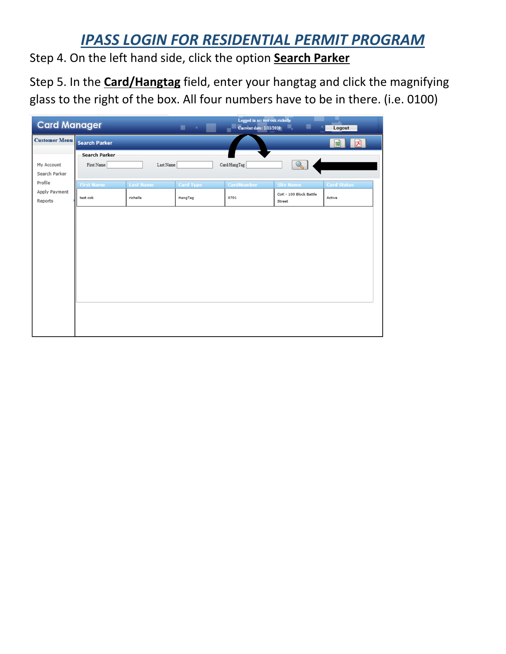## *IPASS LOGIN FOR RESIDENTIAL PERMIT PROGRAM*

Step 4. On the left hand side, click the option **Search Parker**

Step 5. In the **Card/Hangtag** field, enter your hangtag and click the magnifying glass to the right of the box. All four numbers have to be in there. (i.e. 0100)

| <b>Card Manager</b>      |                      |                  | $\mathbf{r}$     | Logged in as: test cok richelle<br><b>Current date: 2/11/2020</b> | ▬                                    | Logout             |
|--------------------------|----------------------|------------------|------------------|-------------------------------------------------------------------|--------------------------------------|--------------------|
| <b>Customer Menu</b>     | <b>Search Parker</b> |                  |                  |                                                                   | $\boxed{\mathbf{B}}$<br>$\mathbf{E}$ |                    |
|                          | <b>Search Parker</b> |                  |                  |                                                                   |                                      |                    |
| My Account               | First Name           | Last Name        |                  | Card/HangTag                                                      | $\mathbb{Q}$                         |                    |
| Search Parker            |                      |                  |                  |                                                                   |                                      |                    |
| Profile                  | <b>First Name</b>    | <b>Last Name</b> | <b>Card Type</b> | <b>CardNumber</b>                                                 | <b>Site Name</b>                     | <b>Card Status</b> |
| Apply Payment<br>Reports | test cok             | richelle         | HangTag          | 0701                                                              | CoK - 100 Block Battle<br>Street     | Active             |
|                          |                      |                  |                  |                                                                   |                                      |                    |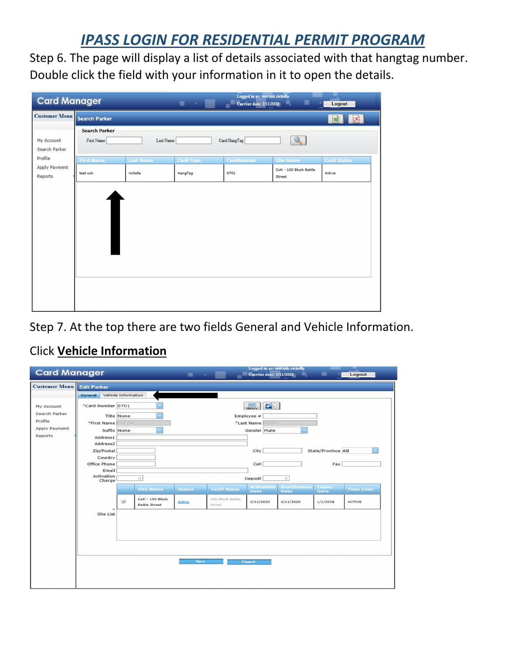## *IPASS LOGIN FOR RESIDENTIAL PERMIT PROGRAM*

Step 6. The page will display a list of details associated with that hangtag number. Double click the field with your information in it to open the details.

| <b>Card Manager</b>                 |                                                                 |                              | . .                         | Logged in as: test cok richelle<br><b>Current date: 2/11/2020</b> | ▬                                                    | Logout                       |  |  |  |
|-------------------------------------|-----------------------------------------------------------------|------------------------------|-----------------------------|-------------------------------------------------------------------|------------------------------------------------------|------------------------------|--|--|--|
| <b>Customer Menu</b> Search Parker  |                                                                 |                              |                             |                                                                   |                                                      | 回<br>$\mathbf{E}$            |  |  |  |
| My Account<br>Search Parker         | <b>Search Parker</b><br>Card/HangTag<br>First Name<br>Last Name |                              |                             |                                                                   |                                                      |                              |  |  |  |
| Profile<br>Apply Payment<br>Reports | <b>First Name</b><br>test cok                                   | <b>Last Name</b><br>richelle | <b>Card Type</b><br>HangTag | <b>CardNumber</b><br>0701                                         | <b>Site Name</b><br>CoK - 100 Block Battle<br>Street | <b>Card Status</b><br>Active |  |  |  |
|                                     |                                                                 |                              |                             |                                                                   |                                                      |                              |  |  |  |

Step 7. At the top there are two fields General and Vehicle Information.

## Click **Vehicle Information**

| <b>Card Manager</b>  |                            |                     |                                         | $\blacksquare$                                            |                            | Logged in as: test cok richelle<br><b>Current date: 2/11/2020</b> | ▦           | ▬                 | Logout           |  |  |
|----------------------|----------------------------|---------------------|-----------------------------------------|-----------------------------------------------------------|----------------------------|-------------------------------------------------------------------|-------------|-------------------|------------------|--|--|
| <b>Customer Menu</b> | <b>Edit Parker</b>         |                     |                                         |                                                           |                            |                                                                   |             |                   |                  |  |  |
|                      | General                    | Vehicle Information |                                         |                                                           |                            |                                                                   |             |                   |                  |  |  |
| My Account           | *Card Number 0701          |                     |                                         |                                                           |                            | $\boxed{2}$<br>H                                                  |             |                   |                  |  |  |
| Search Parker        |                            | Title None          |                                         |                                                           |                            | Employee #                                                        |             |                   |                  |  |  |
| Profile              | *First Name test cok       |                     |                                         |                                                           |                            | *Last Name richelle                                               |             |                   |                  |  |  |
| Apply Payment        | Suffix None<br>Gender Male |                     |                                         |                                                           |                            |                                                                   |             |                   |                  |  |  |
| Reports              | Address1                   |                     |                                         |                                                           |                            |                                                                   |             |                   |                  |  |  |
|                      | Address2                   |                     |                                         |                                                           |                            |                                                                   |             |                   |                  |  |  |
|                      | Zip/Postal                 |                     |                                         |                                                           |                            | City                                                              |             | State/Province AB |                  |  |  |
|                      | Country<br>Office Phone    |                     |                                         |                                                           |                            | Cell                                                              |             | Fax               |                  |  |  |
|                      | Email                      |                     |                                         |                                                           |                            |                                                                   |             |                   |                  |  |  |
|                      | Activation                 |                     | $\circ$                                 |                                                           | Deposit<br>$\circ$         |                                                                   |             |                   |                  |  |  |
|                      | Charge                     |                     |                                         | <b>Reactivation</b><br><b>Activation</b><br><b>Expiry</b> |                            |                                                                   |             |                   |                  |  |  |
|                      |                            |                     | <b>Site Name</b>                        | <b>Status</b>                                             | <b>Tariff Name</b>         | <b>Date</b>                                                       | <b>Date</b> | <b>Date</b>       | <b>Time Zone</b> |  |  |
|                      |                            | $\checkmark$        | CoK - 100 Block<br><b>Battle Street</b> | <b>Active</b>                                             | 100 Block Battle<br>Street | 2/11/2020                                                         | 2/11/2020   | 1/1/2038          | <b>ACTIVE</b>    |  |  |
|                      | Site List                  |                     |                                         |                                                           |                            |                                                                   |             |                   |                  |  |  |
|                      |                            |                     |                                         |                                                           |                            |                                                                   |             |                   |                  |  |  |
|                      |                            |                     |                                         |                                                           |                            |                                                                   |             |                   |                  |  |  |
|                      |                            |                     |                                         |                                                           |                            |                                                                   |             |                   |                  |  |  |
|                      |                            |                     |                                         |                                                           |                            |                                                                   |             |                   |                  |  |  |
|                      |                            |                     |                                         |                                                           |                            |                                                                   |             |                   |                  |  |  |
|                      |                            |                     |                                         | <b>Save</b>                                               |                            | Cancel                                                            |             |                   |                  |  |  |
|                      |                            |                     |                                         |                                                           |                            |                                                                   |             |                   |                  |  |  |
|                      |                            |                     |                                         |                                                           |                            |                                                                   |             |                   |                  |  |  |
|                      |                            |                     |                                         |                                                           |                            |                                                                   |             |                   |                  |  |  |